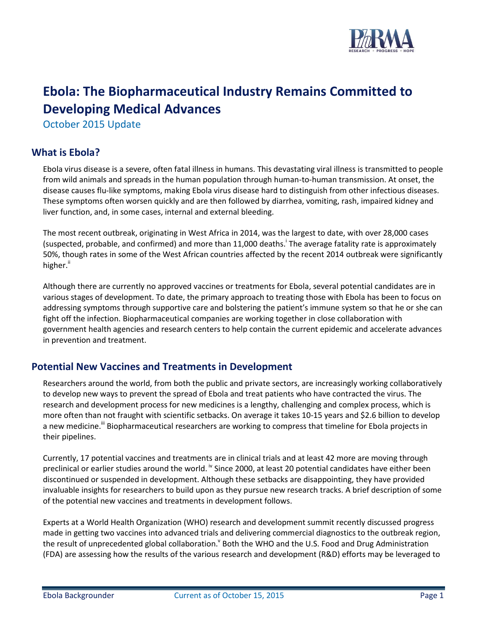

# **Ebola: The Biopharmaceutical Industry Remains Committed to Developing Medical Advances**

October 2015 Update

## **What is Ebola?**

Ebola virus disease is a severe, often fatal illness in humans. This devastating viral illness is transmitted to people from wild animals and spreads in the human population through human-to-human transmission. At onset, the disease causes flu-like symptoms, making Ebola virus disease hard to distinguish from other infectious diseases. These symptoms often worsen quickly and are then followed by diarrhea, vomiting, rash, impaired kidney and liver function, and, in some cases, internal and external bleeding.

The most recent outbreak, originating in West Africa in 2014, was the largest to date, with over 28,000 cases (suspected, probable, and confirmed) and more than 11,000 deaths.<sup>i</sup> The average fatality rate is approximately 50%, though rates in some of the West African countries affected by the recent 2014 outbreak were significantly higher."

Although there are currently no approved vaccines or treatments for Ebola, several potential candidates are in various stages of development. To date, the primary approach to treating those with Ebola has been to focus on addressing symptoms through supportive care and bolstering the patient's immune system so that he or she can fight off the infection. Biopharmaceutical companies are working together in close collaboration with government health agencies and research centers to help contain the current epidemic and accelerate advances in prevention and treatment.

## **Potential New Vaccines and Treatments in Development**

Researchers around the world, from both the public and private sectors, are increasingly working collaboratively to develop new ways to prevent the spread of Ebola and treat patients who have contracted the virus. The research and development process for new medicines is a lengthy, challenging and complex process, which is more often than not fraught with scientific setbacks. On average it takes 10-15 years and \$2.6 billion to develop a new medicine.<sup>iii</sup> Biopharmaceutical researchers are working to compress that timeline for Ebola projects in their pipelines.

Currently, 17 potential vaccines and treatments are in clinical trials and at least 42 more are moving through preclinical or earlier studies around the world. <sup>iv</sup> Since 2000, at least 20 potential candidates have either been discontinued or suspended in development. Although these setbacks are disappointing, they have provided invaluable insights for researchers to build upon as they pursue new research tracks. A brief description of some of the potential new vaccines and treatments in development follows.

Experts at a World Health Organization (WHO) research and development summit recently discussed progress made in getting two vaccines into advanced trials and delivering commercial diagnostics to the outbreak region, the result of unprecedented global collaboration.<sup>V</sup> Both the WHO and the U.S. Food and Drug Administration (FDA) are assessing how the results of the various research and development (R&D) efforts may be leveraged to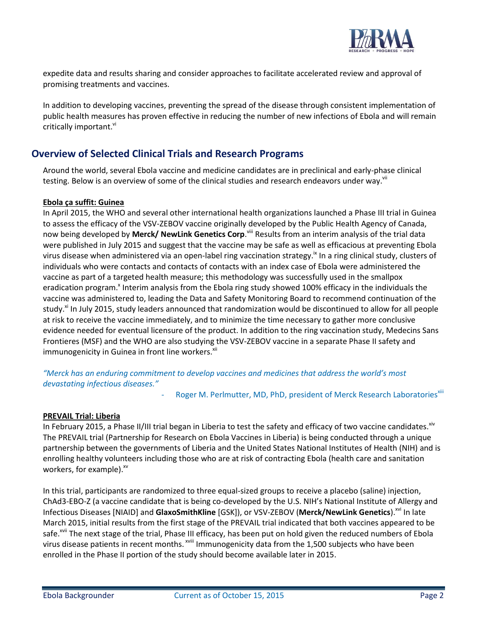

expedite data and results sharing and consider approaches to facilitate accelerated review and approval of promising treatments and vaccines.

In addition to developing vaccines, preventing the spread of the disease through consistent implementation of public health measures has proven effective in reducing the number of new infections of Ebola and will remain critically important.<sup>vi</sup>

## **Overview of Selected Clinical Trials and Research Programs**

Around the world, several Ebola vaccine and medicine candidates are in preclinical and early-phase clinical testing. Below is an overview of some of the clinical studies and research endeavors under way.<sup>vii</sup>

#### **Ebola ça suffit: Guinea**

In April 2015, the WHO and several other international health organizations launched a Phase III trial in Guinea to assess the efficacy of the VSV-ZEBOV vaccine originally developed by the Public Health Agency of Canada, now being developed by **Merck/ NewLink Genetics Corp**.<sup>viii</sup> Results from an interim analysis of the trial data were published in July 2015 and suggest that the vaccine may be safe as well as efficacious at preventing Ebola virus disease when administered via an open-label ring vaccination strategy.<sup>Ix</sup> In a ring clinical study, clusters of individuals who were contacts and contacts of contacts with an index case of Ebola were administered the vaccine as part of a targeted health measure; this methodology was successfully used in the smallpox eradication program.<sup>x</sup> Interim analysis from the Ebola ring study showed 100% efficacy in the individuals the vaccine was administered to, leading the Data and Safety Monitoring Board to recommend continuation of the study.<sup>x</sup> In July 2015, study leaders announced that randomization would be discontinued to allow for all people at risk to receive the vaccine immediately, and to minimize the time necessary to gather more conclusive evidence needed for eventual licensure of the product. In addition to the ring vaccination study, Medecins Sans Frontieres (MSF) and the WHO are also studying the VSV-ZEBOV vaccine in a separate Phase II safety and immunogenicity in Guinea in front line workers.<sup>xii</sup>

*"Merck has an enduring commitment to develop vaccines and medicines that address the world's most devastating infectious diseases."*

Roger M. Perlmutter, MD, PhD, president of Merck Research Laboratories<sup>xiii</sup>

#### **PREVAIL Trial: Liberia**

In February 2015, a Phase II/III trial began in Liberia to test the safety and efficacy of two vaccine candidates. $x^{xx}$ The PREVAIL trial (Partnership for Research on Ebola Vaccines in Liberia) is being conducted through a unique partnership between the governments of Liberia and the United States National Institutes of Health (NIH) and is enrolling healthy volunteers including those who are at risk of contracting Ebola (health care and sanitation workers, for example).<sup>xv</sup>

In this trial, participants are randomized to three equal-sized groups to receive a placebo (saline) injection, ChAd3-EBO-Z (a vaccine candidate that is being co-developed by the U.S. NIH's National Institute of Allergy and Infectious Diseases [NIAID] and GlaxoSmithKline [GSK]), or VSV-ZEBOV (Merck/NewLink Genetics).<sup>xvi</sup> In late March 2015, initial results from the first stage of the PREVAIL trial indicated that both vaccines appeared to be safe.<sup>xvii</sup> The next stage of the trial, Phase III efficacy, has been put on hold given the reduced numbers of Ebola virus disease patients in recent months. <sup>xviii</sup> Immunogenicity data from the 1,500 subjects who have been enrolled in the Phase II portion of the study should become available later in 2015.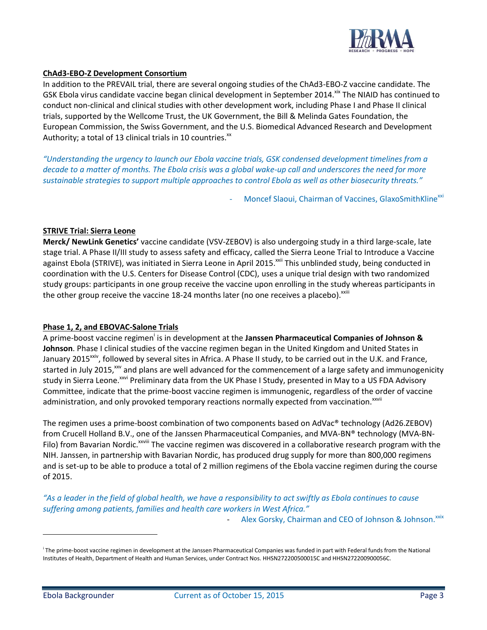

#### **ChAd3-EBO-Z Development Consortium**

In addition to the PREVAIL trial, there are several ongoing studies of the ChAd3-EBO-Z vaccine candidate. The GSK Ebola virus candidate vaccine began clinical development in September 2014.<sup>xix</sup> The NIAID has continued to conduct non-clinical and clinical studies with other development work, including Phase I and Phase II clinical trials, supported by the Wellcome Trust, the UK Government, the Bill & Melinda Gates Foundation, the European Commission, the Swiss Government, and the U.S. Biomedical Advanced Research and Development Authority; a total of 13 clinical trials in 10 countries. $^{xx}$ 

*"Understanding the urgency to launch our Ebola vaccine trials, GSK condensed development timelines from a decade to a matter of months. The Ebola crisis was a global wake-up call and underscores the need for more sustainable strategies to support multiple approaches to control Ebola as well as other biosecurity threats."*

Moncef Slaoui, Chairman of Vaccines, GlaxoSmithKline<sup>xxi</sup>

#### **STRIVE Trial: Sierra Leone**

**Merck/ NewLink Genetics'** vaccine candidate (VSV-ZEBOV) is also undergoing study in a third large-scale, late stage trial. A Phase II/III study to assess safety and efficacy, called the Sierra Leone Trial to Introduce a Vaccine against Ebola (STRIVE), was initiated in Sierra Leone in April 2015.<sup>xxii</sup> This unblinded study, being conducted in coordination with the U.S. Centers for Disease Control (CDC), uses a unique trial design with two randomized study groups: participants in one group receive the vaccine upon enrolling in the study whereas participants in the other group receive the vaccine 18-24 months later (no one receives a placebo). $^{x}$ xxiii

#### **Phase 1, 2, and EBOVAC-Salone Trials**

A prime-boost vaccine regimen<sup>i</sup> is in development at the **Janssen Pharmaceutical Companies of Johnson & Johnson**. Phase I clinical studies of the vaccine regimen began in the United Kingdom and United States in January 2015<sup>xxiv</sup>, followed by several sites in Africa. A Phase II study, to be carried out in the U.K. and France, started in July 2015, xxv and plans are well advanced for the commencement of a large safety and immunogenicity study in Sierra Leone.<sup>xxvi</sup> Preliminary data from the UK Phase I Study, presented in May to a US FDA Advisory Committee, indicate that the prime-boost vaccine regimen is immunogenic, regardless of the order of vaccine administration, and only provoked temporary reactions normally expected from vaccination.<sup>xxvii</sup>

The regimen uses a prime-boost combination of two components based on AdVac® technology (Ad26.ZEBOV) from Crucell Holland B.V., one of the Janssen Pharmaceutical Companies, and MVA-BN® technology (MVA-BN-Filo) from Bavarian Nordic.<sup>xxviii</sup> The vaccine regimen was discovered in a collaborative research program with the NIH. Janssen, in partnership with Bavarian Nordic, has produced drug supply for more than 800,000 regimens and is set-up to be able to produce a total of 2 million regimens of the Ebola vaccine regimen during the course of 2015.

*"As a leader in the field of global health, we have a responsibility to act swiftly as Ebola continues to cause suffering among patients, families and health care workers in West Africa."*  Alex Gorsky, Chairman and CEO of Johnson & Johnson.<sup>xxix</sup>

i The prime-boost vaccine regimen in development at the Janssen Pharmaceutical Companies was funded in part with Federal funds from the National Institutes of Health, Department of Health and Human Services, under Contract Nos. HHSN272200500015C and HHSN272200900056C.

 $\overline{a}$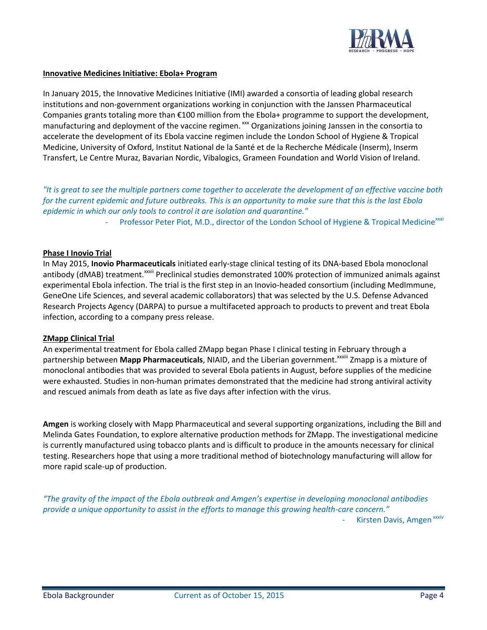

#### **Innovative Medicines Initiative: Ebola+ Program**

In January 2015, the Innovative Medicines Initiative (IMI) awarded a consortia of leading global research institutions and non-government organizations working in conjunction with the Janssen Pharmaceutical Companies grants totaling more than €100 million from the Ebola+ programme to support the development, manufacturing and deployment of the vaccine regimen. xxx Organizations joining Janssen in the consortia to accelerate the development of its Ebola vaccine regimen include the London School of Hygiene & Tropical Medicine, University of Oxford, Institut National de la Santé et de la Recherche Médicale (Inserm), Inserm Transfert, Le Centre Muraz, Bavarian Nordic, Vibalogics, Grameen Foundation and World Vision of Ireland.

*"It is great to see the multiple partners come together to accelerate the development of an effective vaccine both for the current epidemic and future outbreaks. This is an opportunity to make sure that this is the last Ebola epidemic in which our only tools to control it are isolation and quarantine."* Professor Peter Piot, M.D., director of the London School of Hygiene & Tropical Medicine<sup>xxxi</sup>

#### **Phase I Inovio Trial**

In May 2015, **Inovio Pharmaceuticals** initiated early-stage clinical testing of its DNA-based Ebola monoclonal antibody (dMAB) treatment.<sup>xxxii</sup> Preclinical studies demonstrated 100% protection of immunized animals against experimental Ebola infection. The trial is the first step in an Inovio-headed consortium (including MedImmune, GeneOne Life Sciences, and several academic collaborators) that was selected by the U.S. Defense Advanced Research Projects Agency (DARPA) to pursue a multifaceted approach to products to prevent and treat Ebola infection, according to a company press release.

#### **ZMapp Clinical Trial**

An experimental treatment for Ebola called ZMapp began Phase I clinical testing in February through a partnership between **Mapp Pharmaceuticals**, NIAID, and the Liberian government.<sup>xxxiii</sup> Zmapp is a mixture of monoclonal antibodies that was provided to several Ebola patients in August, before supplies of the medicine were exhausted. Studies in non-human primates demonstrated that the medicine had strong antiviral activity and rescued animals from death as late as five days after infection with the virus.

**Amgen** is working closely with Mapp Pharmaceutical and several supporting organizations, including the Bill and Melinda Gates Foundation, to explore alternative production methods for ZMapp. The investigational medicine is currently manufactured using tobacco plants and is difficult to produce in the amounts necessary for clinical testing. Researchers hope that using a more traditional method of biotechnology manufacturing will allow for more rapid scale-up of production.

*"The gravity of the impact of the Ebola outbreak and Amgen's expertise in developing monoclonal antibodies provide a unique opportunity to assist in the efforts to manage this growing health-care concern."* Kirsten Davis, Amgen<sup>xxxiv</sup>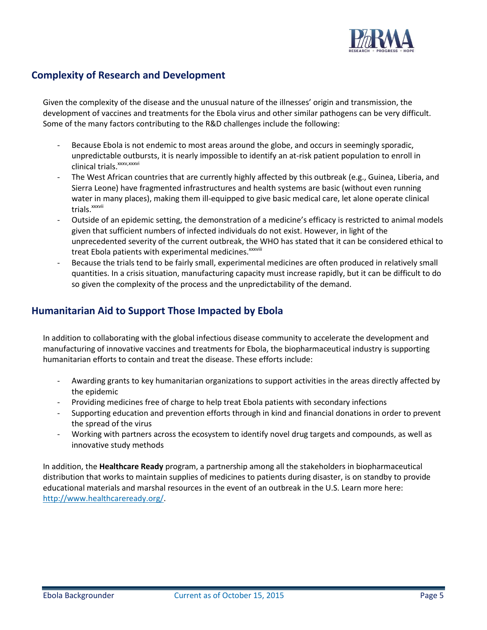

## **Complexity of Research and Development**

Given the complexity of the disease and the unusual nature of the illnesses' origin and transmission, the development of vaccines and treatments for the Ebola virus and other similar pathogens can be very difficult. Some of the many factors contributing to the R&D challenges include the following:

- Because Ebola is not endemic to most areas around the globe, and occurs in seemingly sporadic, unpredictable outbursts, it is nearly impossible to identify an at-risk patient population to enroll in clinical trials.<sup>xxxv,xxxvi</sup>
- The West African countries that are currently highly affected by this outbreak (e.g., Guinea, Liberia, and Sierra Leone) have fragmented infrastructures and health systems are basic (without even running water in many places), making them ill-equipped to give basic medical care, let alone operate clinical trials.<sup>xxxvii</sup>
- Outside of an epidemic setting, the demonstration of a medicine's efficacy is restricted to animal models given that sufficient numbers of infected individuals do not exist. However, in light of the unprecedented severity of the current outbreak, the WHO has stated that it can be considered ethical to treat Ebola patients with experimental medicines. XXXVIII
- Because the trials tend to be fairly small, experimental medicines are often produced in relatively small quantities. In a crisis situation, manufacturing capacity must increase rapidly, but it can be difficult to do so given the complexity of the process and the unpredictability of the demand.

## **Humanitarian Aid to Support Those Impacted by Ebola**

In addition to collaborating with the global infectious disease community to accelerate the development and manufacturing of innovative vaccines and treatments for Ebola, the biopharmaceutical industry is supporting humanitarian efforts to contain and treat the disease. These efforts include:

- Awarding grants to key humanitarian organizations to support activities in the areas directly affected by the epidemic
- Providing medicines free of charge to help treat Ebola patients with secondary infections
- Supporting education and prevention efforts through in kind and financial donations in order to prevent the spread of the virus
- Working with partners across the ecosystem to identify novel drug targets and compounds, as well as innovative study methods

In addition, the **Healthcare Ready** program, a partnership among all the stakeholders in biopharmaceutical distribution that works to maintain supplies of medicines to patients during disaster, is on standby to provide educational materials and marshal resources in the event of an outbreak in the U.S. Learn more here: [http://www.healthcareready.org/.](http://www.healthcareready.org/)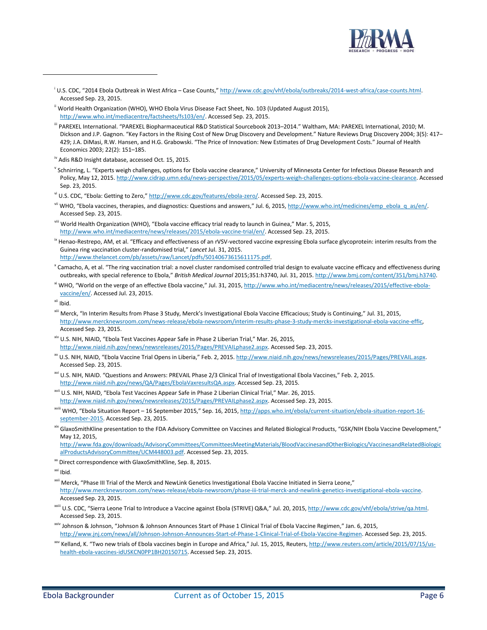

- U.S. CDC, "2014 Ebola Outbreak in West Africa Case Counts," http://www.cdc.gov/vhf/ebola/outbreaks/2014-west-africa/case-counts.html. Accessed Sep. 23, 2015.
- <sup>ii</sup> World Health Organization (WHO), WHO Ebola Virus Disease Fact Sheet, No. 103 (Updated August 2015), [http://www.who.int/mediacentre/factsheets/fs103/en/.](http://www.who.int/mediacentre/factsheets/fs103/en/) Accessed Sep. 23, 2015.
- iii PAREXEL International. "PAREXEL Biopharmaceutical R&D Statistical Sourcebook 2013–2014." Waltham, MA: PAREXEL International, 2010; M. Dickson and J.P. Gagnon. "Key Factors in the Rising Cost of New Drug Discovery and Development." Nature Reviews Drug Discovery 2004; 3(5): 417– 429; J.A. DiMasi, R.W. Hansen, and H.G. Grabowski. "The Price of Innovation: New Estimates of Drug Development Costs." Journal of Health Economics 2003; 22(2): 151–185.
- iv Adis R&D Insight database, accessed Oct. 15, 2015.
- v Schnirring, L. "Experts weigh challenges, options for Ebola vaccine clearance," University of Minnesota Center for Infectious Disease Research and Policy, May 12, 2015[. http://www.cidrap.umn.edu/news-perspective/2015/05/experts-weigh-challenges-options-ebola-vaccine-clearance.](http://www.cidrap.umn.edu/news-perspective/2015/05/experts-weigh-challenges-options-ebola-vaccine-clearance) Accessed Sep. 23, 2015.
- vi U.S. CDC, "Ebola: Getting to Zero," [http://www.cdc.gov/features/ebola-zero/.](http://www.cdc.gov/features/ebola-zero/) Accessed Sep. 23, 2015.
- vii WHO, "Ebola vaccines, therapies, and diagnostics: Questions and answers," Jul. 6, 2015, [http://www.who.int/medicines/emp\\_ebola\\_q\\_as/en/.](http://www.who.int/medicines/emp_ebola_q_as/en/) Accessed Sep. 23, 2015.
- viii World Health Organization (WHO), "Ebola vaccine efficacy trial ready to launch in Guinea," Mar. 5, 2015, [http://www.who.int/mediacentre/news/releases/2015/ebola-vaccine-trial/en/.](http://www.who.int/mediacentre/news/releases/2015/ebola-vaccine-trial/en/) Accessed Sep. 23, 2015.
- <sup>ix</sup> Henao-Restrepo, AM, et al. "Efficacy and effectiveness of an rVSV-vectored vaccine expressing Ebola surface glycoprotein: interim results from the Guinea ring vaccination cluster-randomised trial," *Lancet* Jul. 31, 2015. [http://www.thelancet.com/pb/assets/raw/Lancet/pdfs/S0140673615611175.pdf.](http://www.thelancet.com/pb/assets/raw/Lancet/pdfs/S0140673615611175.pdf)
- <sup>x</sup> Camacho, A, et al. "The ring vaccination trial: a novel cluster randomised controlled trial design to evaluate vaccine efficacy and effectiveness during outbreaks, with special reference to Ebola," *British Medical Journal* 2015;351:h3740, Jul. 31, 2015[. http://www.bmj.com/content/351/bmj.h3740.](http://www.bmj.com/content/351/bmj.h3740)
- <sup>xi</sup> WHO, "World on the verge of an effective Ebola vaccine," Jul. 31, 2015, [http://www.who.int/mediacentre/news/releases/2015/effective-ebola](http://www.who.int/mediacentre/news/releases/2015/effective-ebola-vaccine/en/)[vaccine/en/.](http://www.who.int/mediacentre/news/releases/2015/effective-ebola-vaccine/en/) Accessed Jul. 23, 2015.
- xii Ibid.

l

- xiii Merck, "In Interim Results from Phase 3 Study, Merck's Investigational Ebola Vaccine Efficacious; Study is Continuing," Jul. 31, 2015, [http://www.mercknewsroom.com/news-release/ebola-newsroom/interim-results-phase-3-study-mercks-investigational-ebola-vaccine-effic,](http://www.mercknewsroom.com/news-release/ebola-newsroom/interim-results-phase-3-study-mercks-investigational-ebola-vaccine-effic) Accessed Sep. 23, 2015.
- xiv U.S. NIH, NIAID, "Ebola Test Vaccines Appear Safe in Phase 2 Liberian Trial," Mar. 26, 2015, [http://www.niaid.nih.gov/news/newsreleases/2015/Pages/PREVAILphase2.aspx.](http://www.niaid.nih.gov/news/newsreleases/2015/Pages/PREVAILphase2.aspx) Accessed Sep. 23, 2015.
- xv U.S. NIH, NIAID, "Ebola Vaccine Trial Opens in Liberia," Feb. 2, 2015. [http://www.niaid.nih.gov/news/newsreleases/2015/Pages/PREVAIL.aspx.](http://www.niaid.nih.gov/news/newsreleases/2015/Pages/PREVAIL.aspx) Accessed Sep. 23, 2015.
- <sup>xvi</sup> U.S. NIH, NIAID. "Questions and Answers: PREVAIL Phase 2/3 Clinical Trial of Investigational Ebola Vaccines," Feb. 2, 2015. [http://www.niaid.nih.gov/news/QA/Pages/EbolaVaxresultsQA.aspx.](http://www.niaid.nih.gov/news/QA/Pages/EbolaVaxresultsQA.aspx) Accessed Sep. 23, 2015.
- xvii U.S. NIH, NIAID, "Ebola Test Vaccines Appear Safe in Phase 2 Liberian Clinical Trial," Mar. 26, 2015. [http://www.niaid.nih.gov/news/newsreleases/2015/Pages/PREVAILphase2.aspx.](http://www.niaid.nih.gov/news/newsreleases/2015/Pages/PREVAILphase2.aspx) Accessed Sep. 23, 2015.
- xviii WHO, "Ebola Situation Report 16 September 2015," Sep. 16, 2015, [http://apps.who.int/ebola/current-situation/ebola-situation-report-16](http://apps.who.int/ebola/current-situation/ebola-situation-report-16-september-2015) [september-2015.](http://apps.who.int/ebola/current-situation/ebola-situation-report-16-september-2015) Accessed Sep. 23, 2015.
- xix GlaxoSmithKline presentation to the FDA Advisory Committee on Vaccines and Related Biological Products, "GSK/NIH Ebola Vaccine Development," May 12, 2015,
- [http://www.fda.gov/downloads/AdvisoryCommittees/CommitteesMeetingMaterials/BloodVaccinesandOtherBiologics/VaccinesandRelatedBiologic](http://www.fda.gov/downloads/AdvisoryCommittees/CommitteesMeetingMaterials/BloodVaccinesandOtherBiologics/VaccinesandRelatedBiologicalProductsAdvisoryCommittee/UCM448003.pdf) [alProductsAdvisoryCommittee/UCM448003.pdf.](http://www.fda.gov/downloads/AdvisoryCommittees/CommitteesMeetingMaterials/BloodVaccinesandOtherBiologics/VaccinesandRelatedBiologicalProductsAdvisoryCommittee/UCM448003.pdf) Accessed Sep. 23, 2015.
- xx Direct correspondence with GlaxoSmithKline, Sep. 8, 2015.

- <sup>xxii</sup> Merck, "Phase III Trial of the Merck and NewLink Genetics Investigational Ebola Vaccine Initiated in Sierra Leone," [http://www.mercknewsroom.com/news-release/ebola-newsroom/phase-iii-trial-merck-and-newlink-genetics-investigational-ebola-vaccine.](http://www.mercknewsroom.com/news-release/ebola-newsroom/phase-iii-trial-merck-and-newlink-genetics-investigational-ebola-vaccine)  Accessed Sep. 23, 2015.
- <sup>xxiii</sup> U.S. CDC, "Sierra Leone Trial to Introduce a Vaccine against Ebola (STRIVE) Q&A," Jul. 20, 2015, [http://www.cdc.gov/vhf/ebola/strive/qa.html.](http://www.cdc.gov/vhf/ebola/strive/qa.html) Accessed Sep. 23, 2015.
- <sup>xxiv</sup> Johnson & Johnson, "Johnson & Johnson Announces Start of Phase 1 Clinical Trial of Ebola Vaccine Regimen," Jan. 6, 2015, [http://www.jnj.com/news/all/Johnson-Johnson-Announces-Start-of-Phase-1-Clinical-Trial-of-Ebola-Vaccine-Regimen.](http://www.jnj.com/news/all/Johnson-Johnson-Announces-Start-of-Phase-1-Clinical-Trial-of-Ebola-Vaccine-Regimen) Accessed Sep. 23, 2015.
- xxv Kelland, K. "Two new trials of Ebola vaccines begin in Europe and Africa," Jul. 15, 2015, Reuters, [http://www.reuters.com/article/2015/07/15/us](http://www.reuters.com/article/2015/07/15/us-health-ebola-vaccines-idUSKCN0PP1BH20150715)[health-ebola-vaccines-idUSKCN0PP1BH20150715.](http://www.reuters.com/article/2015/07/15/us-health-ebola-vaccines-idUSKCN0PP1BH20150715) Accessed Sep. 23, 2015.

xxi Ibid.